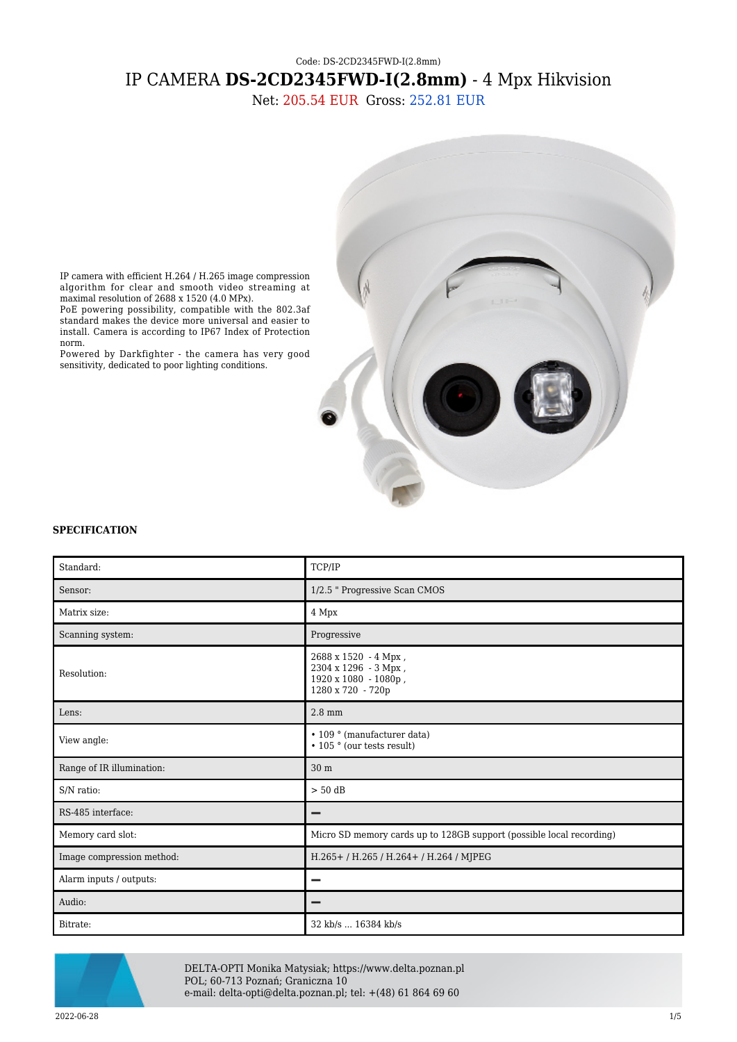# Code: DS-2CD2345FWD-I(2.8mm) IP CAMERA **DS-2CD2345FWD-I(2.8mm)** - 4 Mpx Hikvision

Net: 205.54 EUR Gross: 252.81 EUR



IP camera with efficient H.264 / H.265 image compression algorithm for clear and smooth video streaming at maximal resolution of 2688 x 1520 (4.0 MPx).

PoE powering possibility, compatible with the 802.3af standard makes the device more universal and easier to install. Camera is according to IP67 Index of Protection norm.

Powered by Darkfighter - the camera has very good sensitivity, dedicated to poor lighting conditions.

### **SPECIFICATION**

| Standard:                 | TCP/IP                                                                                    |
|---------------------------|-------------------------------------------------------------------------------------------|
| Sensor:                   | 1/2.5 " Progressive Scan CMOS                                                             |
| Matrix size:              | 4 Mpx                                                                                     |
| Scanning system:          | Progressive                                                                               |
| Resolution:               | 2688 x 1520 - 4 Mpx,<br>2304 х 1296 - 3 Мрх,<br>1920 x 1080 - 1080p,<br>1280 x 720 - 720p |
| Lens:                     | $2.8$ mm                                                                                  |
| View angle:               | • 109 ° (manufacturer data)<br>• 105 ° (our tests result)                                 |
| Range of IR illumination: | 30 m                                                                                      |
| S/N ratio:                | $> 50$ dB                                                                                 |
| RS-485 interface:         |                                                                                           |
| Memory card slot:         | Micro SD memory cards up to 128GB support (possible local recording)                      |
| Image compression method: | H.265+/H.265/H.264+/H.264/MJPEG                                                           |
| Alarm inputs / outputs:   |                                                                                           |
| Audio:                    | -                                                                                         |
| Bitrate:                  | 32 kb/s  16384 kb/s                                                                       |



DELTA-OPTI Monika Matysiak; https://www.delta.poznan.pl POL; 60-713 Poznań; Graniczna 10 e-mail: delta-opti@delta.poznan.pl; tel: +(48) 61 864 69 60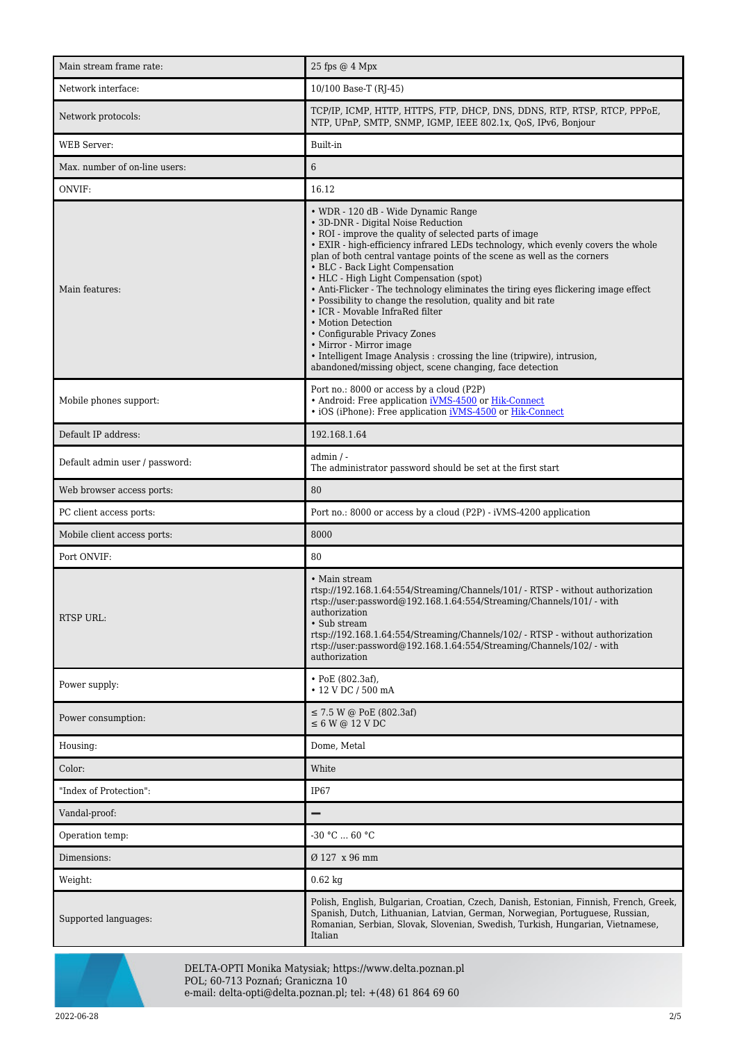| Main stream frame rate:        | 25 fps @ 4 Mpx                                                                                                                                                                                                                                                                                                                                                                                                                                                                                                                                                                                                                                                                                                                                                                                   |
|--------------------------------|--------------------------------------------------------------------------------------------------------------------------------------------------------------------------------------------------------------------------------------------------------------------------------------------------------------------------------------------------------------------------------------------------------------------------------------------------------------------------------------------------------------------------------------------------------------------------------------------------------------------------------------------------------------------------------------------------------------------------------------------------------------------------------------------------|
| Network interface:             | 10/100 Base-T (RJ-45)                                                                                                                                                                                                                                                                                                                                                                                                                                                                                                                                                                                                                                                                                                                                                                            |
| Network protocols:             | TCP/IP, ICMP, HTTP, HTTPS, FTP, DHCP, DNS, DDNS, RTP, RTSP, RTCP, PPP0E,<br>NTP, UPnP, SMTP, SNMP, IGMP, IEEE 802.1x, QoS, IPv6, Bonjour                                                                                                                                                                                                                                                                                                                                                                                                                                                                                                                                                                                                                                                         |
| <b>WEB</b> Server:             | Built-in                                                                                                                                                                                                                                                                                                                                                                                                                                                                                                                                                                                                                                                                                                                                                                                         |
| Max. number of on-line users:  | 6                                                                                                                                                                                                                                                                                                                                                                                                                                                                                                                                                                                                                                                                                                                                                                                                |
| ONVIF:                         | 16.12                                                                                                                                                                                                                                                                                                                                                                                                                                                                                                                                                                                                                                                                                                                                                                                            |
| Main features:                 | • WDR - 120 dB - Wide Dynamic Range<br>• 3D-DNR - Digital Noise Reduction<br>• ROI - improve the quality of selected parts of image<br>• EXIR - high-efficiency infrared LEDs technology, which evenly covers the whole<br>plan of both central vantage points of the scene as well as the corners<br>• BLC - Back Light Compensation<br>• HLC - High Light Compensation (spot)<br>• Anti-Flicker - The technology eliminates the tiring eyes flickering image effect<br>· Possibility to change the resolution, quality and bit rate<br>• ICR - Movable InfraRed filter<br>• Motion Detection<br>• Configurable Privacy Zones<br>• Mirror - Mirror image<br>• Intelligent Image Analysis : crossing the line (tripwire), intrusion,<br>abandoned/missing object, scene changing, face detection |
| Mobile phones support:         | Port no.: 8000 or access by a cloud (P2P)<br>• Android: Free application iVMS-4500 or Hik-Connect<br>• iOS (iPhone): Free application iVMS-4500 or Hik-Connect                                                                                                                                                                                                                                                                                                                                                                                                                                                                                                                                                                                                                                   |
| Default IP address:            | 192.168.1.64                                                                                                                                                                                                                                                                                                                                                                                                                                                                                                                                                                                                                                                                                                                                                                                     |
| Default admin user / password: | admin / -<br>The administrator password should be set at the first start                                                                                                                                                                                                                                                                                                                                                                                                                                                                                                                                                                                                                                                                                                                         |
| Web browser access ports:      | 80                                                                                                                                                                                                                                                                                                                                                                                                                                                                                                                                                                                                                                                                                                                                                                                               |
| PC client access ports:        | Port no.: 8000 or access by a cloud (P2P) - iVMS-4200 application                                                                                                                                                                                                                                                                                                                                                                                                                                                                                                                                                                                                                                                                                                                                |
| Mobile client access ports:    | 8000                                                                                                                                                                                                                                                                                                                                                                                                                                                                                                                                                                                                                                                                                                                                                                                             |
| Port ONVIF:                    | 80                                                                                                                                                                                                                                                                                                                                                                                                                                                                                                                                                                                                                                                                                                                                                                                               |
| RTSP URL:                      | • Main stream<br>rtsp://192.168.1.64:554/Streaming/Channels/101/ - RTSP - without authorization<br>rtsp://user.password@192.168.1.64:554/Streaming/Channels/101/ - with<br>authorization<br>• Sub stream<br>rtsp://192.168.1.64:554/Streaming/Channels/102/ - RTSP - without authorization<br>rtsp://user.password@192.168.1.64:554/Streaming/Channels/102/ - with<br>authorization                                                                                                                                                                                                                                                                                                                                                                                                              |
| Power supply:                  | • PoE $(802.3af)$ ,<br>• 12 V DC / 500 mA                                                                                                                                                                                                                                                                                                                                                                                                                                                                                                                                                                                                                                                                                                                                                        |
| Power consumption:             | $\leq$ 7.5 W @ PoE (802.3af)<br>$\leq 6$ W @ 12 V DC                                                                                                                                                                                                                                                                                                                                                                                                                                                                                                                                                                                                                                                                                                                                             |
| Housing:                       | Dome, Metal                                                                                                                                                                                                                                                                                                                                                                                                                                                                                                                                                                                                                                                                                                                                                                                      |
| Color:                         | White                                                                                                                                                                                                                                                                                                                                                                                                                                                                                                                                                                                                                                                                                                                                                                                            |
| "Index of Protection":         | IP <sub>67</sub>                                                                                                                                                                                                                                                                                                                                                                                                                                                                                                                                                                                                                                                                                                                                                                                 |
| Vandal-proof:                  | -                                                                                                                                                                                                                                                                                                                                                                                                                                                                                                                                                                                                                                                                                                                                                                                                |
| Operation temp:                | $-30 °C  60 °C$                                                                                                                                                                                                                                                                                                                                                                                                                                                                                                                                                                                                                                                                                                                                                                                  |
| Dimensions:                    | Ø 127 x 96 mm                                                                                                                                                                                                                                                                                                                                                                                                                                                                                                                                                                                                                                                                                                                                                                                    |
| Weight:                        | $0.62$ kg                                                                                                                                                                                                                                                                                                                                                                                                                                                                                                                                                                                                                                                                                                                                                                                        |
| Supported languages:           | Polish, English, Bulgarian, Croatian, Czech, Danish, Estonian, Finnish, French, Greek,<br>Spanish, Dutch, Lithuanian, Latvian, German, Norwegian, Portuguese, Russian,<br>Romanian, Serbian, Slovak, Slovenian, Swedish, Turkish, Hungarian, Vietnamese,<br>Italian                                                                                                                                                                                                                                                                                                                                                                                                                                                                                                                              |



DELTA-OPTI Monika Matysiak; https://www.delta.poznan.pl POL; 60-713 Poznań; Graniczna 10 e-mail: delta-opti@delta.poznan.pl; tel: +(48) 61 864 69 60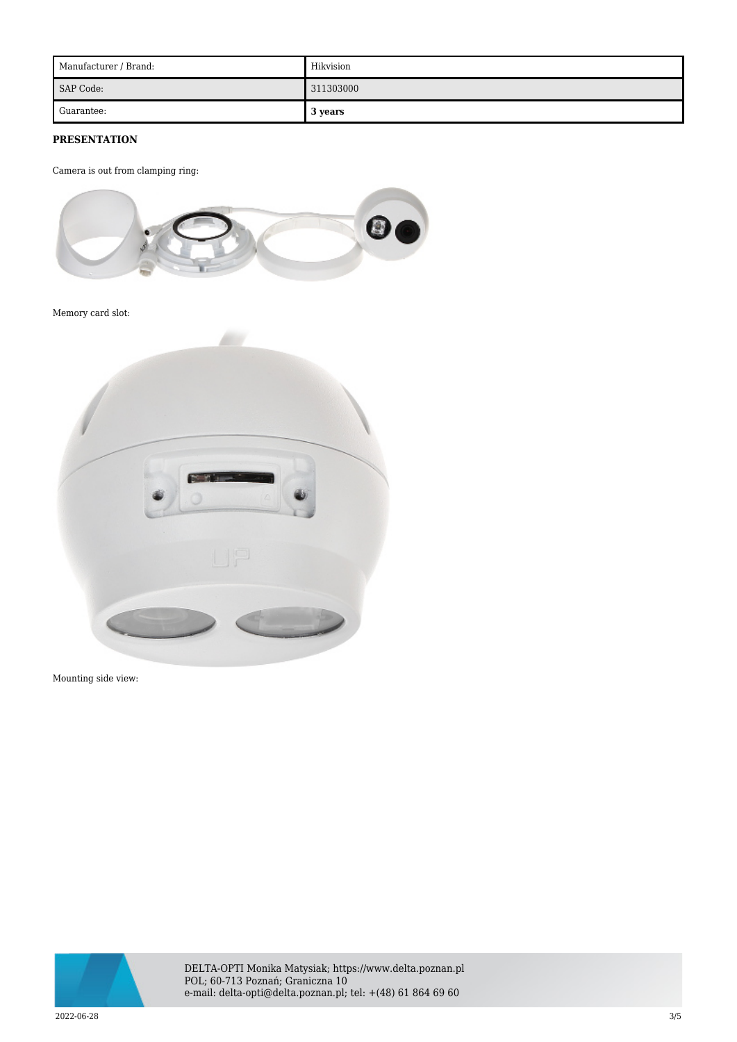| Manufacturer / Brand: | Hikvision |
|-----------------------|-----------|
| SAP Code:             | 311303000 |
| Guarantee:            | 3 years   |

## **PRESENTATION**

Camera is out from clamping ring:



Memory card slot:



Mounting side view:



DELTA-OPTI Monika Matysiak; https://www.delta.poznan.pl POL; 60-713 Poznań; Graniczna 10 e-mail: delta-opti@delta.poznan.pl; tel: +(48) 61 864 69 60

2022-06-28 3/5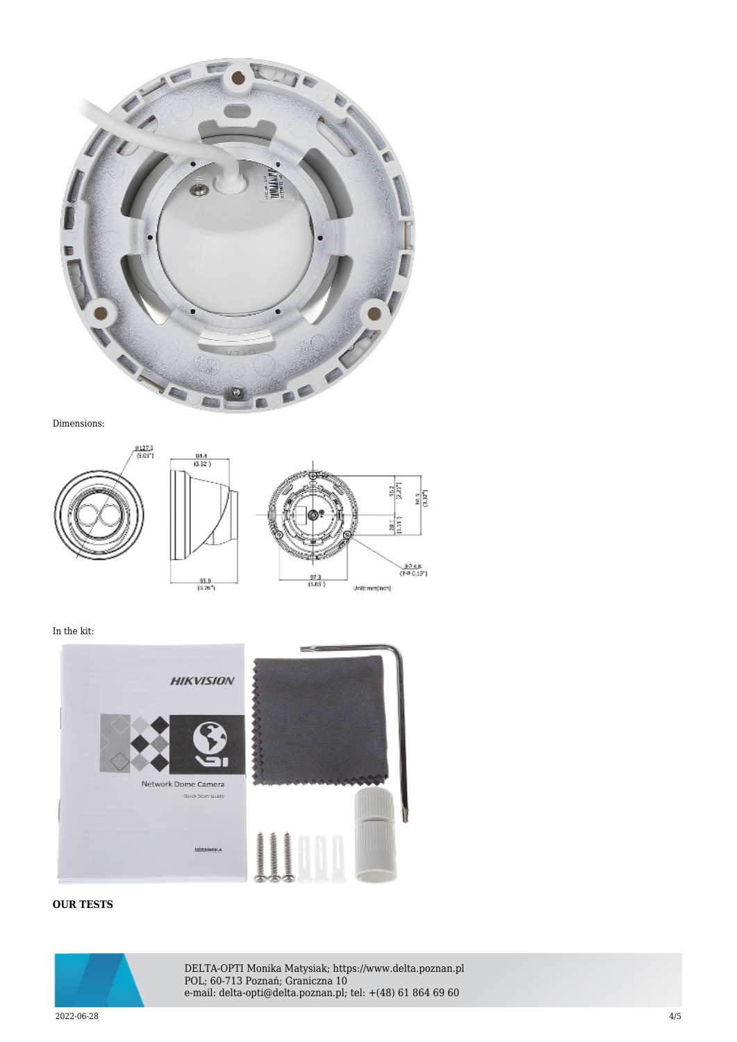

Dimensions:



In the kit:



# **OUR TESTS**



DELTA-OPTI Monika Matysiak; https://www.delta.poznan.pl POL; 60-713 Poznań; Graniczna 10 e-mail: delta-opti@delta.poznan.pl; tel: +(48) 61 864 69 60

2022-06-28 4/5